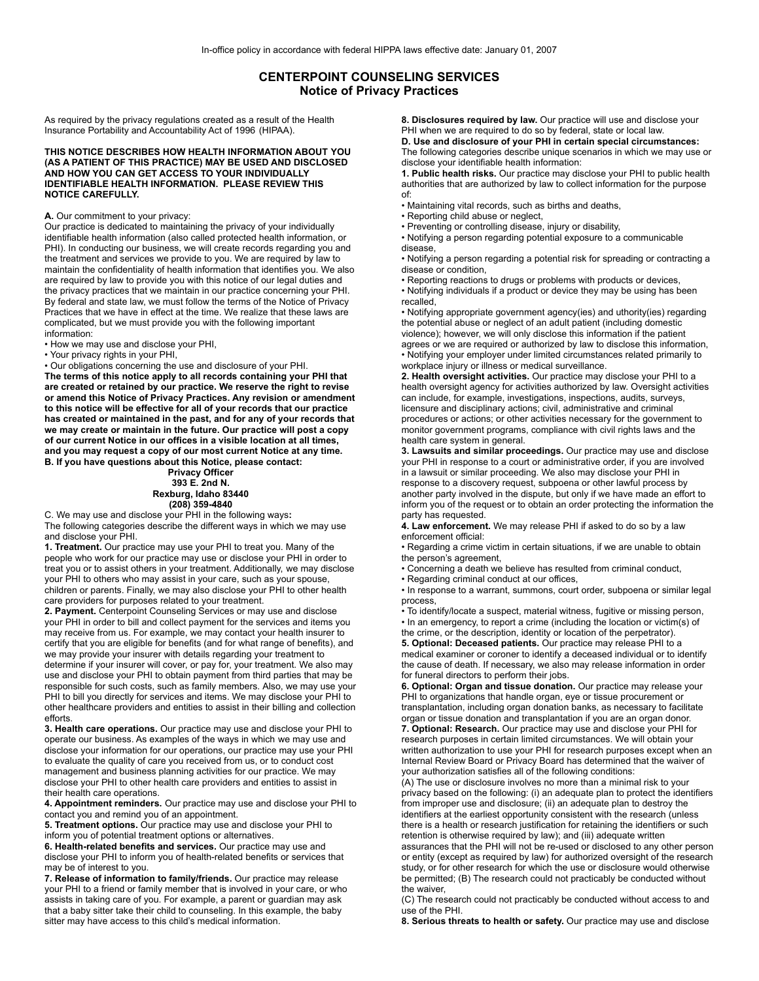## **CENTERPOINT COUNSELING SERVICES Notice of Privacy Practices**

As required by the privacy regulations created as a result of the Health Insurance Portability and Accountability Act of 1996 (HIPAA).

**THIS NOTICE DESCRIBES HOW HEALTH INFORMATION ABOUT YOU (AS A PATIENT OF THIS PRACTICE) MAY BE USED AND DISCLOSED AND HOW YOU CAN GET ACCESS TO YOUR INDIVIDUALLY IDENTIFIABLE HEALTH INFORMATION. PLEASE REVIEW THIS NOTICE CAREFULLY.**

## **A.** Our commitment to your privacy:

Our practice is dedicated to maintaining the privacy of your individually identifiable health information (also called protected health information, or PHI). In conducting our business, we will create records regarding you and the treatment and services we provide to you. We are required by law to maintain the confidentiality of health information that identifies you. We also are required by law to provide you with this notice of our legal duties and the privacy practices that we maintain in our practice concerning your PHI. By federal and state law, we must follow the terms of the Notice of Privacy Practices that we have in effect at the time. We realize that these laws are complicated, but we must provide you with the following important information:

• How we may use and disclose your PHI,

• Your privacy rights in your PHI,

• Our obligations concerning the use and disclosure of your PHI.

**The terms of this notice apply to all records containing your PHI that are created or retained by our practice. We reserve the right to revise or amend this Notice of Privacy Practices. Any revision or amendment to this notice will be effective for all of your records that our practice has created or maintained in the past, and for any of your records that we may create or maintain in the future. Our practice will post a copy of our current Notice in our offices in a visible location at all times, and you may request a copy of our most current Notice at any time. B. If you have questions about this Notice, please contact:**

## **Privacy Officer 393 E. 2nd N. Rexburg, Idaho 83440 (208) 359-4840**

C. We may use and disclose your PHI in the following ways**:** The following categories describe the different ways in which we may use and disclose your PHI.

**1. Treatment.** Our practice may use your PHI to treat you. Many of the people who work for our practice may use or disclose your PHI in order to treat you or to assist others in your treatment. Additionally, we may disclose your PHI to others who may assist in your care, such as your spouse, children or parents. Finally, we may also disclose your PHI to other health care providers for purposes related to your treatment.

**2. Payment.** Centerpoint Counseling Services or may use and disclose your PHI in order to bill and collect payment for the services and items you may receive from us. For example, we may contact your health insurer to certify that you are eligible for benefits (and for what range of benefits), and we may provide your insurer with details regarding your treatment to determine if your insurer will cover, or pay for, your treatment. We also may use and disclose your PHI to obtain payment from third parties that may be responsible for such costs, such as family members. Also, we may use your PHI to bill you directly for services and items. We may disclose your PHI to other healthcare providers and entities to assist in their billing and collection efforts.

**3. Health care operations.** Our practice may use and disclose your PHI to operate our business. As examples of the ways in which we may use and disclose your information for our operations, our practice may use your PHI to evaluate the quality of care you received from us, or to conduct cost management and business planning activities for our practice. We may disclose your PHI to other health care providers and entities to assist in their health care operations.

**4. Appointment reminders.** Our practice may use and disclose your PHI to contact you and remind you of an appointment.

**5. Treatment options.** Our practice may use and disclose your PHI to inform you of potential treatment options or alternatives.

**6. Health-related benefits and services.** Our practice may use and disclose your PHI to inform you of health-related benefits or services that may be of interest to you.

**7. Release of information to family/friends.** Our practice may release your PHI to a friend or family member that is involved in your care, or who assists in taking care of you. For example, a parent or guardian may ask that a baby sitter take their child to counseling. In this example, the baby sitter may have access to this child's medical information.

**8. Disclosures required by law.** Our practice will use and disclose your PHI when we are required to do so by federal, state or local law. **D. Use and disclosure of your PHI in certain special circumstances:** The following categories describe unique scenarios in which we may use or disclose your identifiable health information:

**1. Public health risks.** Our practice may disclose your PHI to public health authorities that are authorized by law to collect information for the purpose of:

• Maintaining vital records, such as births and deaths,

• Reporting child abuse or neglect,

• Preventing or controlling disease, injury or disability,

• Notifying a person regarding potential exposure to a communicable disease,

• Notifying a person regarding a potential risk for spreading or contracting a disease or condition,

• Reporting reactions to drugs or problems with products or devices,

• Notifying individuals if a product or device they may be using has been recalled,

• Notifying appropriate government agency(ies) and uthority(ies) regarding the potential abuse or neglect of an adult patient (including domestic violence); however, we will only disclose this information if the patient agrees or we are required or authorized by law to disclose this information, • Notifying your employer under limited circumstances related primarily to workplace injury or illness or medical surveillance.

**2. Health oversight activities.** Our practice may disclose your PHI to a health oversight agency for activities authorized by law. Oversight activities can include, for example, investigations, inspections, audits, surveys, licensure and disciplinary actions; civil, administrative and criminal procedures or actions; or other activities necessary for the government to monitor government programs, compliance with civil rights laws and the health care system in general.

**3. Lawsuits and similar proceedings.** Our practice may use and disclose your PHI in response to a court or administrative order, if you are involved in a lawsuit or similar proceeding. We also may disclose your PHI in response to a discovery request, subpoena or other lawful process by another party involved in the dispute, but only if we have made an effort to inform you of the request or to obtain an order protecting the information the party has requested.

**4. Law enforcement.** We may release PHI if asked to do so by a law enforcement official:

• Regarding a crime victim in certain situations, if we are unable to obtain the person's agreement,

• Concerning a death we believe has resulted from criminal conduct,

• Regarding criminal conduct at our offices,

• In response to a warrant, summons, court order, subpoena or similar legal process,

• To identify/locate a suspect, material witness, fugitive or missing person, • In an emergency, to report a crime (including the location or victim(s) of

the crime, or the description, identity or location of the perpetrator). **5. Optional: Deceased patients.** Our practice may release PHI to a medical examiner or coroner to identify a deceased individual or to identify the cause of death. If necessary, we also may release information in order for funeral directors to perform their jobs.

**6. Optional: Organ and tissue donation.** Our practice may release your PHI to organizations that handle organ, eye or tissue procurement or transplantation, including organ donation banks, as necessary to facilitate

organ or tissue donation and transplantation if you are an organ donor. **7. Optional: Research.** Our practice may use and disclose your PHI for research purposes in certain limited circumstances. We will obtain your written authorization to use your PHI for research purposes except when an Internal Review Board or Privacy Board has determined that the waiver of your authorization satisfies all of the following conditions:

(A) The use or disclosure involves no more than a minimal risk to your privacy based on the following: (i) an adequate plan to protect the identifiers from improper use and disclosure; (ii) an adequate plan to destroy the identifiers at the earliest opportunity consistent with the research (unless there is a health or research justification for retaining the identifiers or such retention is otherwise required by law); and (iii) adequate written

assurances that the PHI will not be re-used or disclosed to any other person or entity (except as required by law) for authorized oversight of the research study, or for other research for which the use or disclosure would otherwise be permitted; (B) The research could not practicably be conducted without the waiver,

(C) The research could not practicably be conducted without access to and use of the PHI.

**8. Serious threats to health or safety.** Our practice may use and disclose